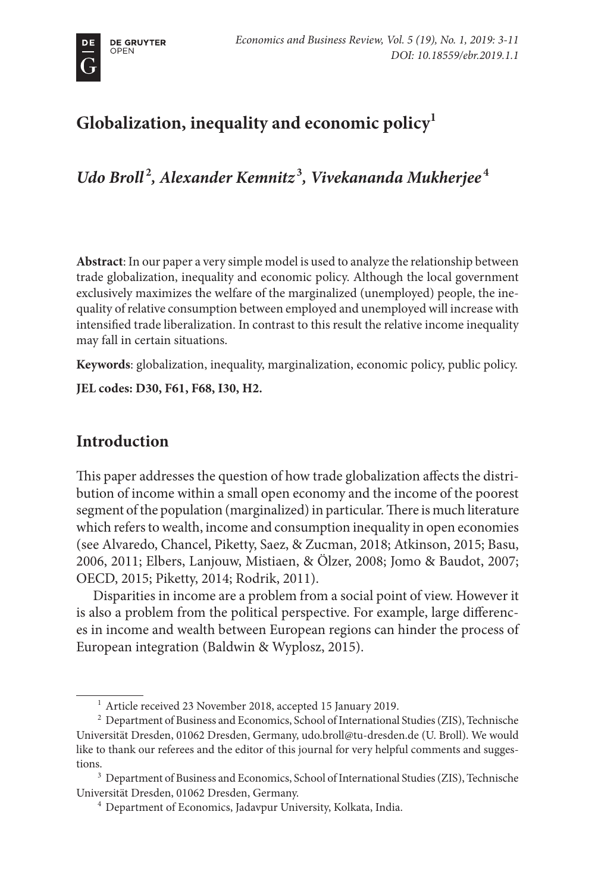# **Globalization, inequality and economic policy1**

*Udo Broll* **<sup>2</sup>** *, Alexander Kemnitz* **<sup>3</sup>** *, Vivekananda Mukherjee* **<sup>4</sup>**

**Abstract**: In our paper a very simple model is used to analyze the relationship between trade globalization, inequality and economic policy. Although the local government exclusively maximizes the welfare of the marginalized (unemployed) people, the inequality of relative consumption between employed and unemployed will increase with intensified trade liberalization. In contrast to this result the relative income inequality may fall in certain situations.

**Keywords**: globalization, inequality, marginalization, economic policy, public policy.

**JEL codes: D30, F61, F68, I30, H2.**

# **Introduction**

This paper addresses the question of how trade globalization affects the distribution of income within a small open economy and the income of the poorest segment of the population (marginalized) in particular. There is much literature which refers to wealth, income and consumption inequality in open economies (see Alvaredo, Chancel, Piketty, Saez, & Zucman, 2018; Atkinson, 2015; Basu, 2006, 2011; Elbers, Lanjouw, Mistiaen, & Ölzer, 2008; Jomo & Baudot, 2007; OECD, 2015; Piketty, 2014; Rodrik, 2011).

Disparities in income are a problem from a social point of view. However it is also a problem from the political perspective. For example, large differences in income and wealth between European regions can hinder the process of European integration (Baldwin & Wyplosz, 2015).

 $^{\rm 1}$  Article received 23 November 2018, accepted 15 January 2019.

<sup>&</sup>lt;sup>2</sup> Department of Business and Economics, School of International Studies (ZIS), Technische Universität Dresden, 01062 Dresden, Germany, udo.broll@tu-dresden.de (U. Broll). We would like to thank our referees and the editor of this journal for very helpful comments and sugges-

tions.<br><sup>3</sup> Department of Business and Economics, School of International Studies (ZIS), Technische Universität Dresden, 01062 Dresden, Germany.

<sup>&</sup>lt;sup>4</sup> Department of Economics, Jadavpur University, Kolkata, India.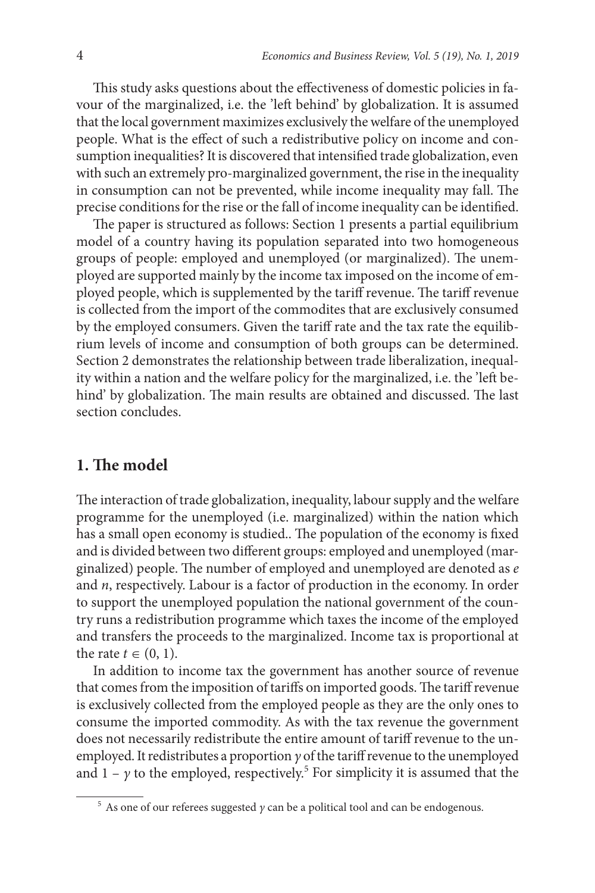This study asks questions about the effectiveness of domestic policies in favour of the marginalized, i.e. the 'left behind' by globalization. It is assumed that the local government maximizes exclusively the welfare of the unemployed people. What is the effect of such a redistributive policy on income and consumption inequalities? It is discovered that intensified trade globalization, even with such an extremely pro-marginalized government, the rise in the inequality in consumption can not be prevented, while income inequality may fall. The precise conditions for the rise or the fall of income inequality can be identified.

The paper is structured as follows: Section 1 presents a partial equilibrium model of a country having its population separated into two homogeneous groups of people: employed and unemployed (or marginalized). The unemployed are supported mainly by the income tax imposed on the income of employed people, which is supplemented by the tariff revenue. The tariff revenue is collected from the import of the commodites that are exclusively consumed by the employed consumers. Given the tariff rate and the tax rate the equilibrium levels of income and consumption of both groups can be determined. Section 2 demonstrates the relationship between trade liberalization, inequality within a nation and the welfare policy for the marginalized, i.e. the 'left behind' by globalization. The main results are obtained and discussed. The last section concludes.

# **1. The model**

The interaction of trade globalization, inequality, labour supply and the welfare programme for the unemployed (i.e. marginalized) within the nation which has a small open economy is studied.. The population of the economy is fixed and is divided between two different groups: employed and unemployed (marginalized) people. The number of employed and unemployed are denoted as *e* and *n*, respectively. Labour is a factor of production in the economy. In order to support the unemployed population the national government of the country runs a redistribution programme which taxes the income of the employed and transfers the proceeds to the marginalized. Income tax is proportional at the rate  $t \in (0, 1)$ .

In addition to income tax the government has another source of revenue that comes from the imposition of tariffs on imported goods. The tariff revenue is exclusively collected from the employed people as they are the only ones to consume the imported commodity. As with the tax revenue the government does not necessarily redistribute the entire amount of tariff revenue to the unemployed. It redistributes a proportion *γ* of the tariff revenue to the unemployed and  $1 - y$  to the employed, respectively.<sup>5</sup> For simplicity it is assumed that the

<sup>5</sup> As one of our referees suggested *γ* can be a political tool and can be endogenous.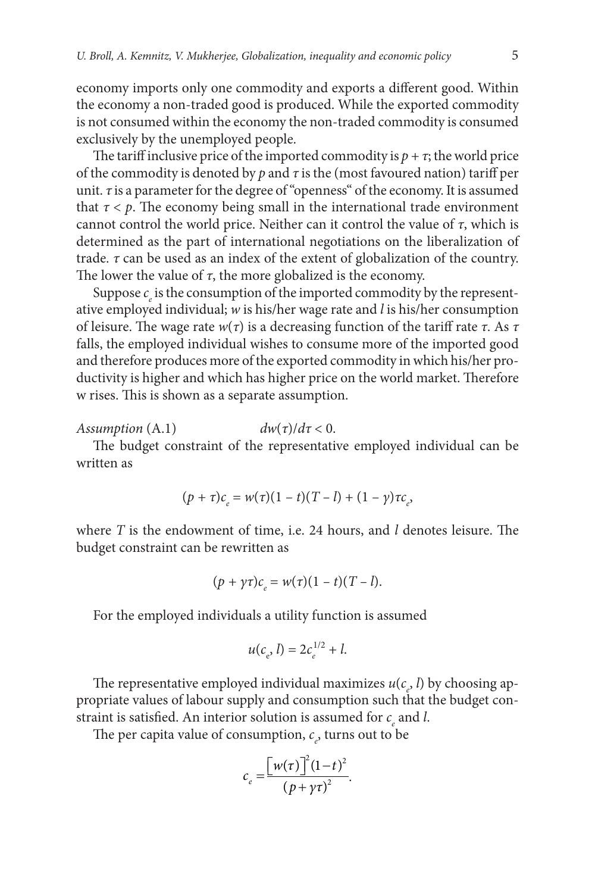economy imports only one commodity and exports a different good. Within the economy a non-traded good is produced. While the exported commodity is not consumed within the economy the non-traded commodity is consumed exclusively by the unemployed people.

The tariff inclusive price of the imported commodity is  $p + \tau$ ; the world price of the commodity is denoted by *p* and *τ* is the (most favoured nation) tariff per unit. *τ* is a parameter for the degree of "openness" of the economy. It is assumed that  $\tau < \rho$ . The economy being small in the international trade environment cannot control the world price. Neither can it control the value of *τ*, which is determined as the part of international negotiations on the liberalization of trade. *τ* can be used as an index of the extent of globalization of the country. The lower the value of  $\tau$ , the more globalized is the economy.

Suppose  $c_e$  is the consumption of the imported commodity by the representative employed individual; *w* is his/her wage rate and *l* is his/her consumption of leisure. The wage rate *w*(*τ*) is a decreasing function of the tariff rate *τ*. As *τ* falls, the employed individual wishes to consume more of the imported good and therefore produces more of the exported commodity in which his/her productivity is higher and which has higher price on the world market. Therefore w rises. This is shown as a separate assumption.

*Assumption*  $(A.1)$  *dw* $(\tau)/d\tau < 0$ .

The budget constraint of the representative employed individual can be written as

$$
(p + \tau)c_{e} = w(\tau)(1 - t)(T - l) + (1 - \gamma)\tau c_{e},
$$

where *T* is the endowment of time, i.e. 24 hours, and *l* denotes leisure. The budget constraint can be rewritten as

$$
(p + \gamma \tau) c_e = w(\tau)(1 - t)(T - l).
$$

For the employed individuals a utility function is assumed

$$
u(c_e, l) = 2c_e^{1/2} + l.
$$

The representative employed individual maximizes  $u(c_e, l)$  by choosing appropriate values of labour supply and consumption such that the budget constraint is satisfied. An interior solution is assumed for  $c_{e}$  and *l*.

The per capita value of consumption,  $c_e$ , turns out to be

$$
c_e = \frac{\left[w(\tau)\right]^2 (1-t)^2}{\left(p + \gamma \tau\right)^2}.
$$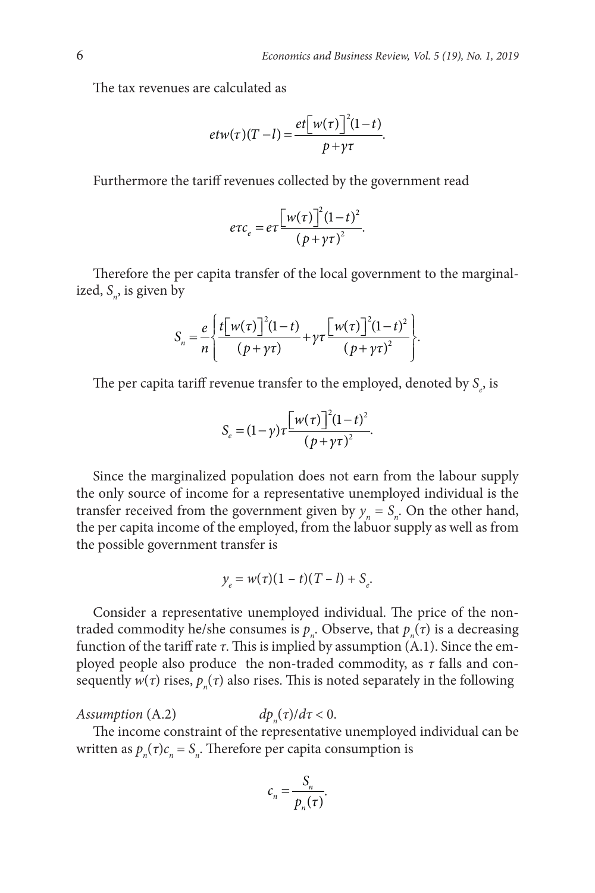The tax revenues are calculated as

$$
etw(\tau)(T-l) = \frac{et\big[w(\tau)\big]^2(1-t)}{p+\gamma\tau}.
$$

Furthermore the tariff revenues collected by the government read

$$
e\tau c_e = e\tau \frac{\left[w(\tau)\right]^2 (1-t)^2}{\left(p + \gamma \tau\right)^2}.
$$

Therefore the per capita transfer of the local government to the marginalized, S<sub>n</sub>, is given by

$$
S_n = \frac{e}{n} \left\{ \frac{t \left[w(\tau)\right]^2 (1-t)}{(p+\gamma\tau)} + \gamma \tau \frac{[w(\tau)\right]^2 (1-t)^2}{(p+\gamma\tau)^2} \right\}.
$$

The per capita tariff revenue transfer to the employed, denoted by  $S_{e}$ , is

$$
S_e = (1 - \gamma) \tau \frac{\left[w(\tau)\right]^2 (1 - t)^2}{\left(p + \gamma \tau\right)^2}.
$$

Since the marginalized population does not earn from the labour supply the only source of income for a representative unemployed individual is the transfer received from the government given by  $y_n = S_n$ . On the other hand, the per capita income of the employed, from the labuor supply as well as from the possible government transfer is

$$
y_e = w(\tau)(1 - t)(T - l) + S_e.
$$

Consider a representative unemployed individual. The price of the nontraded commodity he/she consumes is  $p_n$ . Observe, that  $p_n(\tau)$  is a decreasing function of the tariff rate *τ*. This is implied by assumption (A.1). Since the employed people also produce the non-traded commodity, as *τ* falls and consequently  $w(\tau)$  rises,  $p_n(\tau)$  also rises. This is noted separately in the following

*Assumption* (A.2)  $dp_{\nu}(\tau)/d\tau < 0.$ 

The income constraint of the representative unemployed individual can be written as  $p_n(\tau)c_n = S_n$ . Therefore per capita consumption is

$$
c_n = \frac{S_n}{p_n(\tau)}.
$$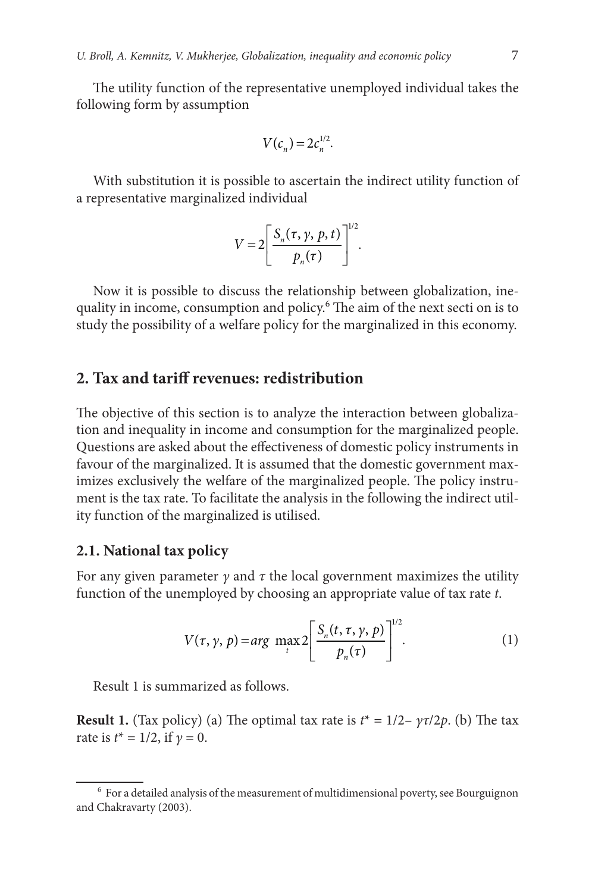The utility function of the representative unemployed individual takes the following form by assumption

$$
V(c_n) = 2c_n^{1/2}.
$$

With substitution it is possible to ascertain the indirect utility function of a representative marginalized individual

$$
V = 2\left[\frac{S_n(\tau, \gamma, p, t)}{p_n(\tau)}\right]^{1/2}.
$$

Now it is possible to discuss the relationship between globalization, inequality in income, consumption and policy.<sup>6</sup> The aim of the next secti on is to study the possibility of a welfare policy for the marginalized in this economy.

## **2. Tax and tariff revenues: redistribution**

The objective of this section is to analyze the interaction between globalization and inequality in income and consumption for the marginalized people. Questions are asked about the effectiveness of domestic policy instruments in favour of the marginalized. It is assumed that the domestic government maximizes exclusively the welfare of the marginalized people. The policy instrument is the tax rate. To facilitate the analysis in the following the indirect utility function of the marginalized is utilised.

#### **2.1. National tax policy**

For any given parameter  $\gamma$  and  $\tau$  the local government maximizes the utility function of the unemployed by choosing an appropriate value of tax rate *t*.

$$
V(\tau, \gamma, p) = arg \max_{t} 2 \left[ \frac{S_n(t, \tau, \gamma, p)}{p_n(\tau)} \right]^{1/2}.
$$
 (1)

Result 1 is summarized as follows.

**Result 1.** (Tax policy) (a) The optimal tax rate is  $t^* = 1/2 - \gamma \tau/2p$ . (b) The tax rate is  $t^* = 1/2$ , if  $γ = 0$ .

 $^6$  For a detailed analysis of the measurement of multidimensional poverty, see Bourguignon and Chakravarty (2003).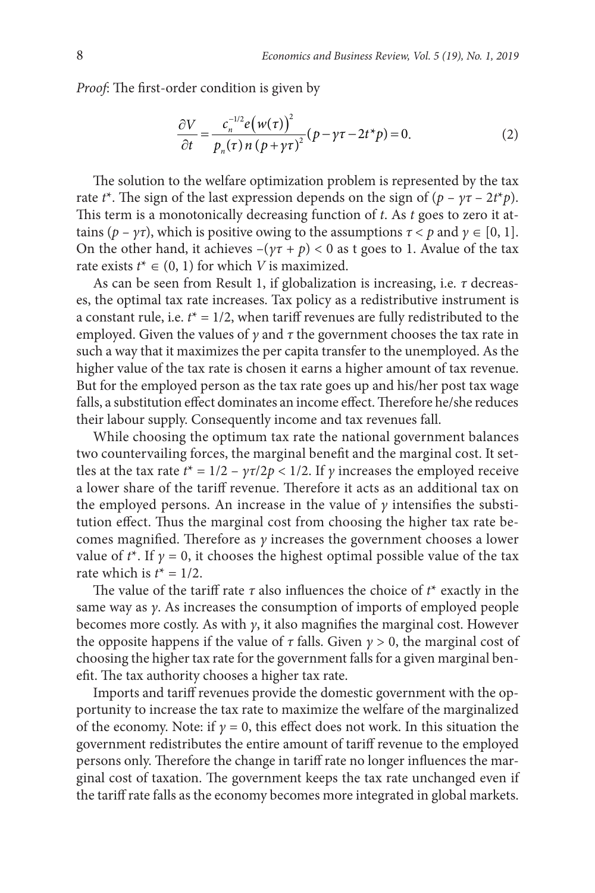*Proof*: The first-order condition is given by

$$
\frac{\partial V}{\partial t} = \frac{c_n^{-1/2} e(w(\tau))^2}{p_n(\tau) n (p + \gamma \tau)^2} (p - \gamma \tau - 2t^* p) = 0.
$$
 (2)

The solution to the welfare optimization problem is represented by the tax rate *t*<sup>\*</sup>. The sign of the last expression depends on the sign of  $(p - \gamma \tau - 2t^*p)$ . This term is a monotonically decreasing function of *t*. As *t* goes to zero it attains  $(p - \gamma \tau)$ , which is positive owing to the assumptions  $\tau < p$  and  $\gamma \in [0, 1]$ . On the other hand, it achieves  $-(\gamma \tau + p) < 0$  as t goes to 1. Avalue of the tax rate exists  $t^* \in (0, 1)$  for which *V* is maximized.

As can be seen from Result 1, if globalization is increasing, i.e. *τ* decreases, the optimal tax rate increases. Tax policy as a redistributive instrument is a constant rule, i.e.  $t^* = 1/2$ , when tariff revenues are fully redistributed to the employed. Given the values of *γ* and *τ* the government chooses the tax rate in such a way that it maximizes the per capita transfer to the unemployed. As the higher value of the tax rate is chosen it earns a higher amount of tax revenue. But for the employed person as the tax rate goes up and his/her post tax wage falls, a substitution effect dominates an income effect. Therefore he/she reduces their labour supply. Consequently income and tax revenues fall.

While choosing the optimum tax rate the national government balances two countervailing forces, the marginal benefit and the marginal cost. It settles at the tax rate  $t^* = 1/2 - \gamma \tau / 2p < 1/2$ . If  $\gamma$  increases the employed receive a lower share of the tariff revenue. Therefore it acts as an additional tax on the employed persons. An increase in the value of  $\gamma$  intensifies the substitution effect. Thus the marginal cost from choosing the higher tax rate becomes magnified. Therefore as *γ* increases the government chooses a lower value of  $t^*$ . If  $\gamma = 0$ , it chooses the highest optimal possible value of the tax rate which is  $t^* = 1/2$ .

The value of the tariff rate *τ* also influences the choice of *t*\* exactly in the same way as *γ*. As increases the consumption of imports of employed people becomes more costly. As with *γ*, it also magnifies the marginal cost. However the opposite happens if the value of  $\tau$  falls. Given  $\gamma > 0$ , the marginal cost of choosing the higher tax rate for the government falls for a given marginal benefit. The tax authority chooses a higher tax rate.

Imports and tariff revenues provide the domestic government with the opportunity to increase the tax rate to maximize the welfare of the marginalized of the economy. Note: if  $\gamma = 0$ , this effect does not work. In this situation the government redistributes the entire amount of tariff revenue to the employed persons only. Therefore the change in tariff rate no longer influences the marginal cost of taxation. The government keeps the tax rate unchanged even if the tariff rate falls as the economy becomes more integrated in global markets.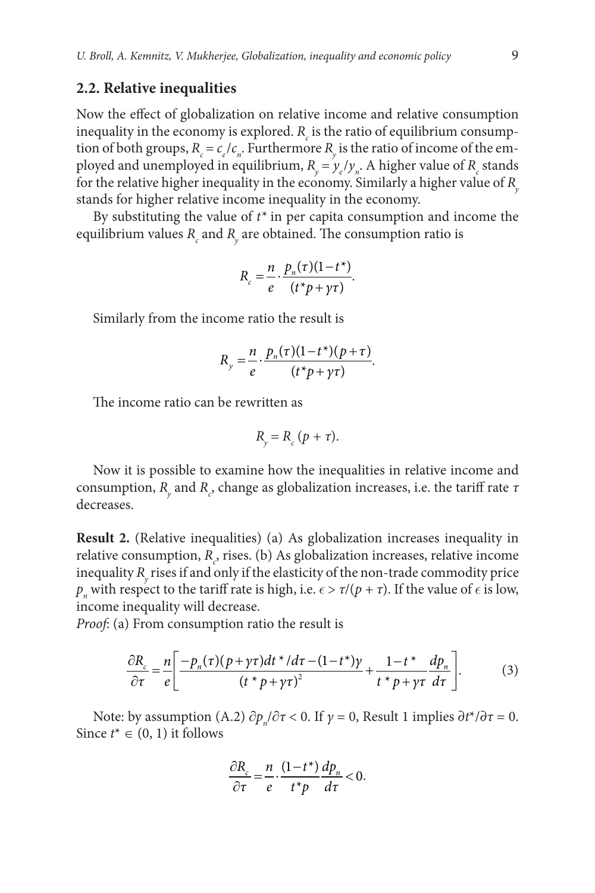#### **2.2. Relative inequalities**

Now the effect of globalization on relative income and relative consumption inequality in the economy is explored.  $R_c$  is the ratio of equilibrium consumption of both groups,  $R_c = c_e/c_n$ . Furthermore  $R_y$  is the ratio of income of the employed and unemployed in equilibrium,  $R_y = y_e/y_n$ . A higher value of  $R_c$  stands for the relative higher inequality in the economy. Similarly a higher value of *R*<sub>*x*</sub> stands for higher relative income inequality in the economy.

By substituting the value of *t\** in per capita consumption and income the equilibrium values  $R_{_{c}}$  and  $R_{_{y}}$  are obtained. The consumption ratio is

$$
R_c = \frac{n}{e} \cdot \frac{p_n(\tau)(1 - t^*)}{(t^*p + \gamma \tau)}.
$$

Similarly from the income ratio the result is

$$
R_y = \frac{n}{e} \cdot \frac{p_n(\tau)(1-t^*)(p+\tau)}{(t^*p+\gamma\tau)}.
$$

The income ratio can be rewritten as

$$
R_{y} = R_{c} (p + \tau).
$$

Now it is possible to examine how the inequalities in relative income and consumption, *R<sub>y</sub>* and *R<sub>c</sub>*, change as globalization increases, i.e. the tariff rate *τ* decreases.

**Result 2.** (Relative inequalities) (a) As globalization increases inequality in relative consumption,  $R_c$ , rises. (b) As globalization increases, relative income inequality  $R_{y}$  rises if and only if the elasticity of the non-trade commodity price *p<sub>n</sub>* with respect to the tariff rate is high, i.e.  $\epsilon > \tau/(p + \tau)$ . If the value of  $\epsilon$  is low, income inequality will decrease.

*Proof*: (a) From consumption ratio the result is

$$
\frac{\partial R_c}{\partial \tau} = \frac{n}{e} \left[ \frac{-p_n(\tau)(p + \gamma \tau)dt^* / d\tau - (1 - t^*)\gamma}{(t^* p + \gamma \tau)^2} + \frac{1 - t^*}{t^* p + \gamma \tau} \frac{dp_n}{d\tau} \right].
$$
 (3)

Note: by assumption (A.2)  $\partial p_n / \partial \tau < 0$ . If  $\gamma = 0$ , Result 1 implies  $\partial t^* / \partial \tau = 0$ . Since  $t^* \in (0, 1)$  it follows

$$
\frac{\partial R_c}{\partial \tau} = \frac{n}{e} \cdot \frac{(1 - t^*)}{t^* p} \frac{dp_n}{d\tau} < 0.
$$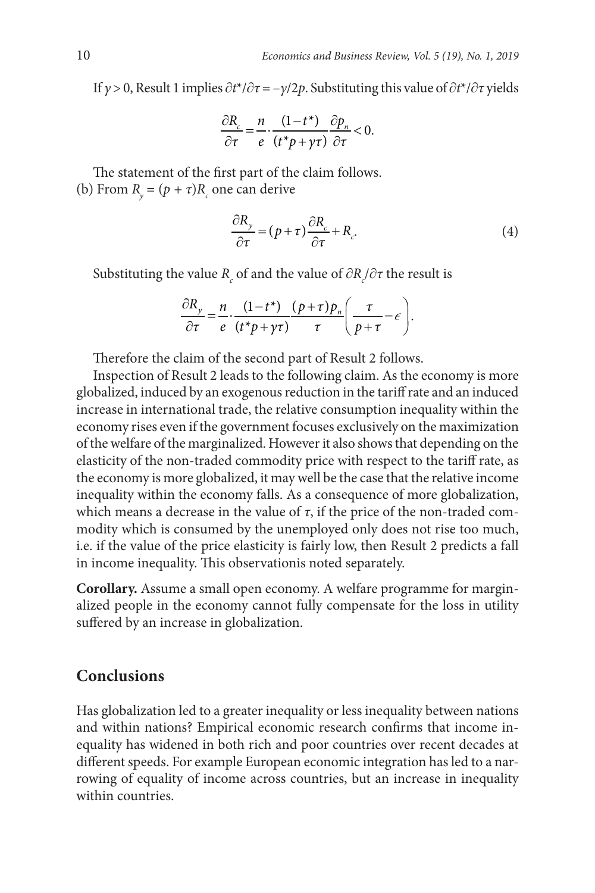If *γ* > 0, Result 1 implies ∂*t*\*/∂*τ* = –*γ*/2*p*. Substituting this value of ∂*t*\*/∂*τ* yields

$$
\frac{\partial R_c}{\partial \tau} = \frac{n}{e} \cdot \frac{(1 - t^*)}{(t^* p + \gamma \tau)} \frac{\partial p_n}{\partial \tau} < 0.
$$

The statement of the first part of the claim follows. (b) From  $R_{y} = (p + \tau)R_{c}$  one can derive

$$
\frac{\partial R_{y}}{\partial \tau} = (p + \tau) \frac{\partial R_{c}}{\partial \tau} + R_{c}.
$$
\n(4)

Substituting the value  $R_c$  of and the value of  $\partial R_c/\partial \tau$  the result is

$$
\frac{\partial R_{y}}{\partial \tau} = \frac{n}{e} \cdot \frac{(1 - t^{*})}{(t^{*} p + \gamma \tau)} \frac{(p + \tau) p_{n}}{\tau} \left( \frac{\tau}{p + \tau} - \epsilon \right).
$$

Therefore the claim of the second part of Result 2 follows.

Inspection of Result 2 leads to the following claim. As the economy is more globalized, induced by an exogenous reduction in the tariff rate and an induced increase in international trade, the relative consumption inequality within the economy rises even if the government focuses exclusively on the maximization of the welfare of the marginalized. However it also shows that depending on the elasticity of the non-traded commodity price with respect to the tariff rate, as the economy is more globalized, it may well be the case that the relative income inequality within the economy falls. As a consequence of more globalization, which means a decrease in the value of  $\tau$ , if the price of the non-traded commodity which is consumed by the unemployed only does not rise too much, i.e. if the value of the price elasticity is fairly low, then Result 2 predicts a fall in income inequality. This observationis noted separately.

**Corollary.** Assume a small open economy. A welfare programme for marginalized people in the economy cannot fully compensate for the loss in utility suffered by an increase in globalization.

### **Conclusions**

Has globalization led to a greater inequality or less inequality between nations and within nations? Empirical economic research confirms that income inequality has widened in both rich and poor countries over recent decades at different speeds. For example European economic integration has led to a narrowing of equality of income across countries, but an increase in inequality within countries.